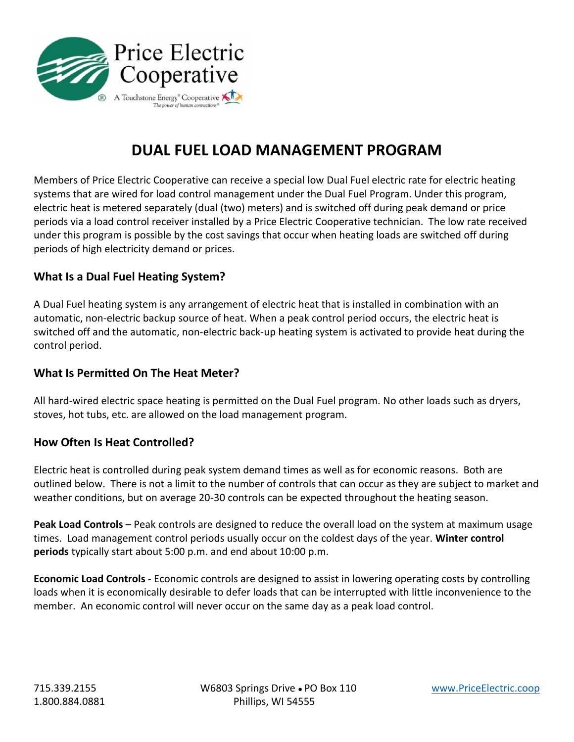

# **DUAL FUEL LOAD MANAGEMENT PROGRAM**

Members of Price Electric Cooperative can receive a special low Dual Fuel electric rate for electric heating systems that are wired for load control management under the Dual Fuel Program. Under this program, electric heat is metered separately (dual (two) meters) and is switched off during peak demand or price periods via a load control receiver installed by a Price Electric Cooperative technician. The low rate received under this program is possible by the cost savings that occur when heating loads are switched off during periods of high electricity demand or prices.

### **What Is a Dual Fuel Heating System?**

A Dual Fuel heating system is any arrangement of electric heat that is installed in combination with an automatic, non-electric backup source of heat. When a peak control period occurs, the electric heat is switched off and the automatic, non-electric back-up heating system is activated to provide heat during the control period.

#### **What Is Permitted On The Heat Meter?**

All hard-wired electric space heating is permitted on the Dual Fuel program. No other loads such as dryers, stoves, hot tubs, etc. are allowed on the load management program.

#### **How Often Is Heat Controlled?**

Electric heat is controlled during peak system demand times as well as for economic reasons. Both are outlined below. There is not a limit to the number of controls that can occur as they are subject to market and weather conditions, but on average 20-30 controls can be expected throughout the heating season.

**Peak Load Controls** – Peak controls are designed to reduce the overall load on the system at maximum usage times. Load management control periods usually occur on the coldest days of the year. **Winter control periods** typically start about 5:00 p.m. and end about 10:00 p.m.

**Economic Load Controls** - Economic controls are designed to assist in lowering operating costs by controlling loads when it is economically desirable to defer loads that can be interrupted with little inconvenience to the member. An economic control will never occur on the same day as a peak load control.